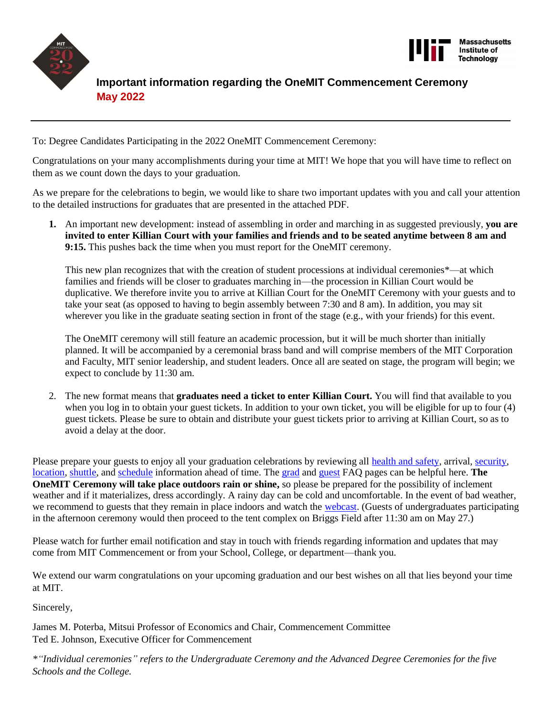



# **Important information regarding the OneMIT Commencement Ceremony May 2022**

To: Degree Candidates Participating in the 2022 OneMIT Commencement Ceremony:

Congratulations on your many accomplishments during your time at MIT! We hope that you will have time to reflect on them as we count down the days to your graduation.

As we prepare for the celebrations to begin, we would like to share two important updates with you and call your attention to the detailed instructions for graduates that are presented in the attached PDF.

**1.** An important new development: instead of assembling in order and marching in as suggested previously, **you are invited to enter Killian Court with your families and friends and to be seated anytime between 8 am and 9:15.** This pushes back the time when you must report for the OneMIT ceremony.

This new plan recognizes that with the creation of student processions at individual ceremonies\*—at which families and friends will be closer to graduates marching in—the procession in Killian Court would be duplicative. We therefore invite you to arrive at Killian Court for the OneMIT Ceremony with your guests and to take your seat (as opposed to having to begin assembly between 7:30 and 8 am). In addition, you may sit wherever you like in the graduate seating section in front of the stage (e.g., with your friends) for this event.

The OneMIT ceremony will still feature an academic procession, but it will be much shorter than initially planned. It will be accompanied by a ceremonial brass band and will comprise members of the MIT Corporation and Faculty, MIT senior leadership, and student leaders. Once all are seated on stage, the program will begin; we expect to conclude by 11:30 am.

2. The new format means that **graduates need a ticket to enter Killian Court.** You will find that available to you when you log in to obtain your guest tickets. In addition to your own ticket, you will be eligible for up to four (4) guest tickets. Please be sure to obtain and distribute your guest tickets prior to arriving at Killian Court, so as to avoid a delay at the door.

Please prepare your guests to enjoy all your graduation celebrations by reviewing all [health and safety,](https://commencement.mit.edu/graduates/graduates-faq) arrival, [security,](https://commencement.mit.edu/guests/security) [location,](http://whereis.mit.edu/) [shuttle,](https://commencement.mit.edu/guests/parking-shuttles-road-closures) and [schedule](https://commencement.mit.edu/schedule) information ahead of time. The [grad](https://commencement.mit.edu/graduates/graduates-faq) and [guest](https://commencement.mit.edu/guests/guest-faq) FAQ pages can be helpful here. **The OneMIT Ceremony will take place outdoors rain or shine,** so please be prepared for the possibility of inclement weather and if it materializes, dress accordingly. A rainy day can be cold and uncomfortable. In the event of bad weather, we recommend to guests that they remain in place indoors and watch the [webcast.](https://commencement.mit.edu/webcasts) (Guests of undergraduates participating in the afternoon ceremony would then proceed to the tent complex on Briggs Field after 11:30 am on May 27.)

Please watch for further email notification and stay in touch with friends regarding information and updates that may come from MIT Commencement or from your School, College, or department—thank you.

We extend our warm congratulations on your upcoming graduation and our best wishes on all that lies beyond your time at MIT.

Sincerely,

James M. Poterba, Mitsui Professor of Economics and Chair, Commencement Committee Ted E. Johnson, Executive Officer for Commencement

*\*"Individual ceremonies" refers to the Undergraduate Ceremony and the Advanced Degree Ceremonies for the five Schools and the College.*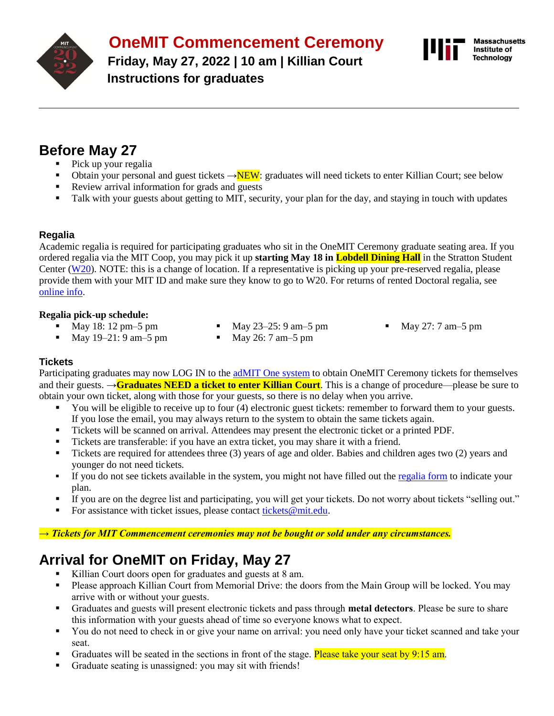

**OneMIT Commencement Ceremony**

**Friday, May 27, 2022 | 10 am | Killian Court Instructions for graduates**



# **Before May 27**

- Pick up your regalia
- **■** Obtain your personal and guest tickets  $\rightarrow$ NEW: graduates will need tickets to enter Killian Court; see below Review arrival information for grads and guests
- Review arrival information for grads and guests
- Talk with your guests about getting to MIT, security, your plan for the day, and staying in touch with updates

# **Regalia**

Academic regalia is required for participating graduates who sit in the OneMIT Ceremony graduate seating area. If you ordered regalia via the MIT Coop, you may pick it up **starting May 18 in Lobdell Dining Hall** in the Stratton Student Center [\(W20\)](http://whereis.mit.edu/?go=W20). NOTE: this is a change of location. If a representative is picking up your pre-reserved regalia, please provide them with your MIT ID and make sure they know to go to W20. For returns of rented Doctoral regalia, see [online info.](https://commencement.mit.edu/graduates/regalia)

#### **Regalia pick-up schedule:**

- May 18: 12 pm 5 pm
- May  $23-25:9$  am $-5$  pm
- May 27: 7 am 5 pm
- May  $19-21: 9$  am $-5$  pm
- May 26: 7 am 5 pm

# **Tickets**

Participating graduates may now LOG IN to th[e adMIT One system](https://mit.universitytickets.com/) to obtain OneMIT Ceremony tickets for themselves and their guests. →**Graduates NEED a ticket to enter Killian Court**. This is a change of procedure—please be sure to obtain your own ticket, along with those for your guests, so there is no delay when you arrive.

- You will be eligible to receive up to four (4) electronic guest tickets: remember to forward them to your guests. If you lose the email, you may always return to the system to obtain the same tickets again.
- Tickets will be scanned on arrival. Attendees may present the electronic ticket or a printed PDF.
- Tickets are transferable: if you have an extra ticket, you may share it with a friend.
- Tickets are required for attendees three (3) years of age and older. Babies and children ages two (2) years and younger do not need tickets.
- **.** If you do not see tickets available in the system, you might not have filled out the [regalia form](https://mit.universitytickets.com/w/event2.aspx?id=1465&r=9f530acfce384df9817838d881a1df02) to indicate your plan.
- If you are on the degree list and participating, you will get your tickets. Do not worry about tickets "selling out."
- For assistance with ticket issues, please contact [tickets@mit.edu.](mailto:tickets@mit.edu)

#### *→ Tickets for MIT Commencement ceremonies may not be bought or sold under any circumstances.*

# **Arrival for OneMIT on Friday, May 27**

- Killian Court doors open for graduates and guests at 8 am.
- Please approach Killian Court from Memorial Drive: the doors from the Main Group will be locked. You may arrive with or without your guests.
- Graduates and guests will present electronic tickets and pass through **metal detectors**. Please be sure to share this information with your guests ahead of time so everyone knows what to expect.
- You do not need to check in or give your name on arrival: you need only have your ticket scanned and take your seat.
- **•** Graduates will be seated in the sections in front of the stage. Please take your seat by 9:15 am.
- Graduate seating is unassigned: you may sit with friends!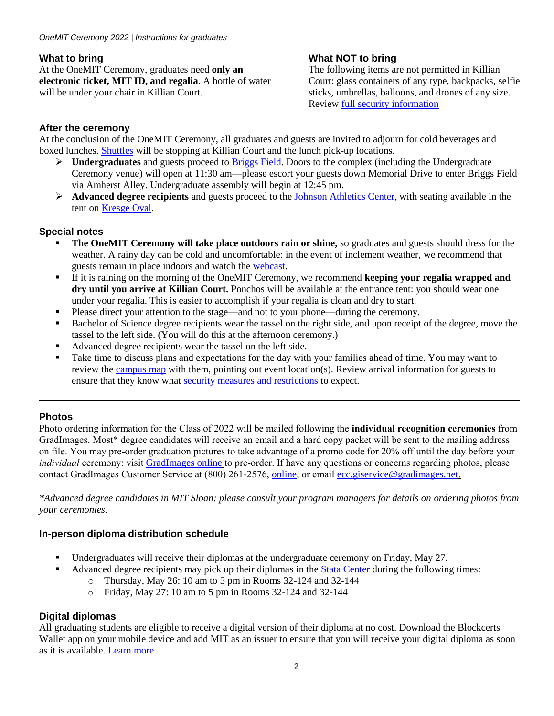# **What to bring**

At the OneMIT Ceremony, graduates need **only an electronic ticket, MIT ID, and regalia**. A bottle of water will be under your chair in Killian Court.

# **What NOT to bring**

The following items are not permitted in Killian Court: glass containers of any type, backpacks, selfie sticks, umbrellas, balloons, and drones of any size. Review [full security information](https://commencement.mit.edu/guests/security)

# **After the ceremony**

At the conclusion of the OneMIT Ceremony, all graduates and guests are invited to adjourn for cold beverages and boxed lunches. [Shuttles](https://commencement.mit.edu/guests/parking-shuttles-road-closures) will be stopping at Killian Court and the lunch pick-up locations.

- ➢ **Undergraduates** and guests proceed to [Briggs Field.](https://whereis.mit.edu/?go=G15) Doors to the complex (including the Undergraduate Ceremony venue) will open at 11:30 am—please escort your guests down Memorial Drive to enter Briggs Field via Amherst Alley. Undergraduate assembly will begin at 12:45 pm.
- ➢ **Advanced degree recipients** and guests proceed to the [Johnson Athletics Center,](http://whereis.mit.edu/?go=W34) with seating available in the tent on [Kresge Oval.](http://whereis.mit.edu/?go=G8)

# **Special notes**

- The OneMIT Ceremony will take place outdoors rain or shine, so graduates and guests should dress for the weather. A rainy day can be cold and uncomfortable: in the event of inclement weather, we recommend that guests remain in place indoors and watch the [webcast.](https://commencement.mit.edu/webcasts)
- If it is raining on the morning of the OneMIT Ceremony, we recommend **keeping your regalia wrapped and dry until you arrive at Killian Court.** Ponchos will be available at the entrance tent: you should wear one under your regalia. This is easier to accomplish if your regalia is clean and dry to start.
- Please direct your attention to the stage—and not to your phone—during the ceremony.
- Bachelor of Science degree recipients wear the tassel on the right side, and upon receipt of the degree, move the tassel to the left side. (You will do this at the afternoon ceremony.)
- Advanced degree recipients wear the tassel on the left side.
- Take time to discuss plans and expectations for the day with your families ahead of time. You may want to review the [campus map](http://whereis.mit.edu/) with them, pointing out event location(s). Review arrival information for guests to ensure that they know what [security measures and restrictions](http://commencement.mit.edu/guests/security) to expect.

# **Photos**

Photo ordering information for the Class of 2022 will be mailed following the **individual recognition ceremonies** from GradImages. Most\* degree candidates will receive an email and a hard copy packet will be sent to the mailing address on file. You may pre-order graduation pictures to take advantage of a promo code for 20% off until the day before your *individual* ceremony: visit [GradImages online](https://www.gradimages.com/) to pre-order. If have any questions or concerns regarding photos, please contact GradImages Customer Service at (800) 261-2576, [online](https://www.gradimages.com/), or email [ecc.giservice@gradimages.net](mailto:ecc.giservice@gradimages.net).

*\*Advanced degree candidates in MIT Sloan: please consult your program managers for details on ordering photos from your ceremonies.*

# **In-person diploma distribution schedule**

- Undergraduates will receive their diplomas at the undergraduate ceremony on Friday, May 27.
- Advanced degree recipients may pick up their diplomas in the [Stata Center](http://whereis.mit.edu/?go=32) during the following times:
	- o Thursday, May 26: 10 am to 5 pm in Rooms 32-124 and 32-144
	- o Friday, May 27: 10 am to 5 pm in Rooms 32-124 and 32-144

# **Digital diplomas**

All graduating students are eligible to receive a digital version of their diploma at no cost. Download the Blockcerts Wallet app on your mobile device and add MIT as an issuer to ensure that you will receive your digital diploma as soon as it is available. [Learn more](https://registrar.mit.edu/transcripts-records/diplomas/digital-diplomas)